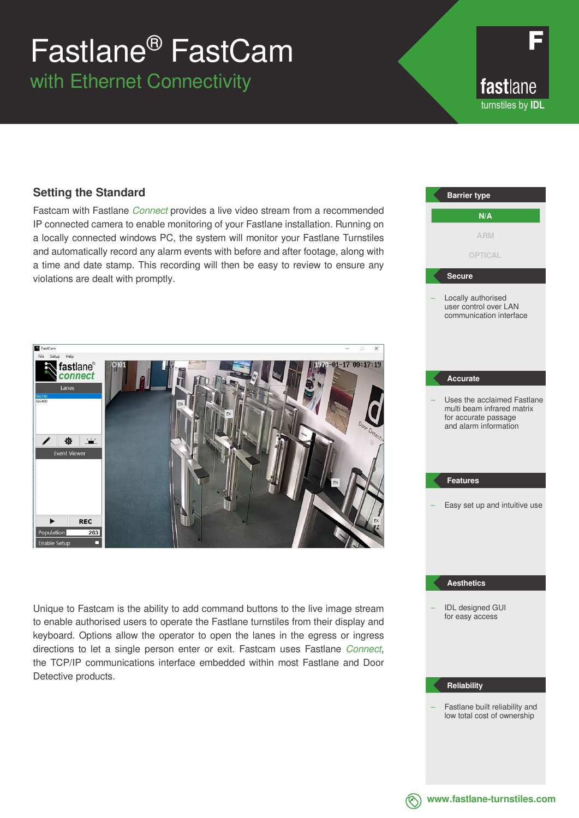# Fastlane® FastCam

with Ethernet Connectivity

fastlane turnstiles by **IDL**

### **Setting the Standard**

Fastcam with Fastlane *Connect* provides a live video stream from a recommended IP connected camera to enable monitoring of your Fastlane installation. Running on a locally connected windows PC, the system will monitor your Fastlane Turnstiles and automatically record any alarm events with before and after footage, along with a time and date stamp. This recording will then be easy to review to ensure any violations are dealt with promptly.



Unique to Fastcam is the ability to add command buttons to the live image stream to enable authorised users to operate the Fastlane turnstiles from their display and keyboard. Options allow the operator to open the lanes in the egress or ingress directions to let a single person enter or exit. Fastcam uses Fastlane *Connect*, the TCP/IP communications interface embedded within most Fastlane and Door Detective products.